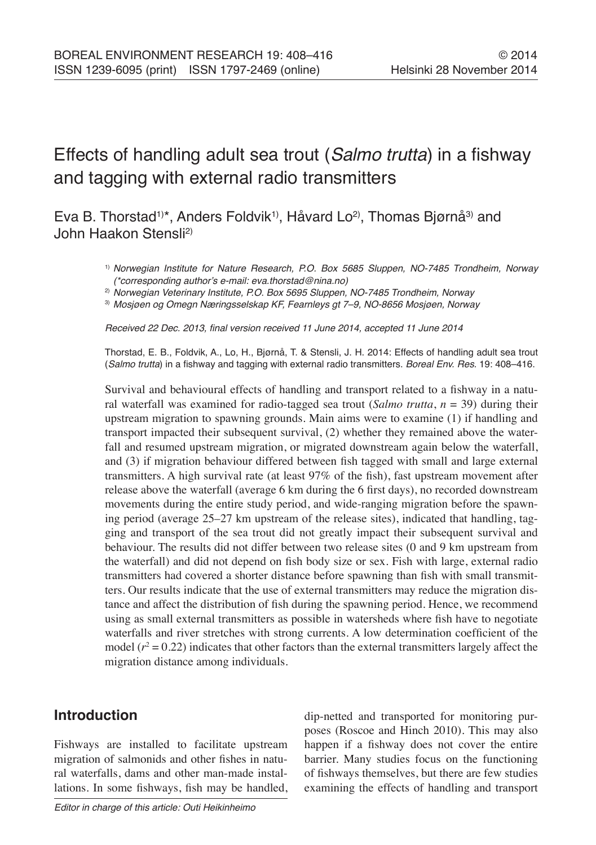# Effects of handling adult sea trout (*Salmo trutta*) in a fishway and tagging with external radio transmitters

Eva B. Thorstad<sup>1)\*</sup>, Anders Foldvik<sup>1</sup>, Håvard Lo<sup>2</sup>, Thomas Bjørnå<sup>3)</sup> and John Haakon Stensli2)

- 1) *Norwegian Institute for Nature Research, P.O. Box 5685 Sluppen, NO-7485 Trondheim, Norway (\*corresponding author's e-mail: eva.thorstad@nina.no)*
- 2) *Norwegian Veterinary Institute, P.O. Box 5695 Sluppen, NO-7485 Trondheim, Norway*
- 3) *Mosjøen og Omegn Næringsselskap KF, Fearnleys gt 7–9, NO-8656 Mosjøen, Norway*

Received 22 Dec. 2013, final version received 11 June 2014, accepted 11 June 2014

Thorstad, E. B., Foldvik, A., Lo, H., Bjørnå, T. & Stensli, J. H. 2014: Effects of handling adult sea trout (*Salmo trutta*) in a fishway and tagging with external radio transmitters. *Boreal Env. Res.* 19: 408–416.

Survival and behavioural effects of handling and transport related to a fishway in a natural waterfall was examined for radio-tagged sea trout (*Salmo trutta*, *n* = 39) during their upstream migration to spawning grounds. Main aims were to examine (1) if handling and transport impacted their subsequent survival, (2) whether they remained above the waterfall and resumed upstream migration, or migrated downstream again below the waterfall, and (3) if migration behaviour differed between fish tagged with small and large external transmitters. A high survival rate (at least 97% of the fish), fast upstream movement after release above the waterfall (average 6 km during the 6 first days), no recorded downstream movements during the entire study period, and wide-ranging migration before the spawning period (average 25–27 km upstream of the release sites), indicated that handling, tagging and transport of the sea trout did not greatly impact their subsequent survival and behaviour. The results did not differ between two release sites (0 and 9 km upstream from the waterfall) and did not depend on fish body size or sex. Fish with large, external radio transmitters had covered a shorter distance before spawning than fish with small transmitters. Our results indicate that the use of external transmitters may reduce the migration distance and affect the distribution of fish during the spawning period. Hence, we recommend using as small external transmitters as possible in watersheds where fish have to negotiate waterfalls and river stretches with strong currents. A low determination coefficient of the model  $(r^2 = 0.22)$  indicates that other factors than the external transmitters largely affect the migration distance among individuals.

## **Introduction**

Fishways are installed to facilitate upstream migration of salmonids and other fishes in natural waterfalls, dams and other man-made installations. In some fishways, fish may be handled, dip-netted and transported for monitoring purposes (Roscoe and Hinch 2010). This may also happen if a fishway does not cover the entire barrier. Many studies focus on the functioning of fishways themselves, but there are few studies examining the effects of handling and transport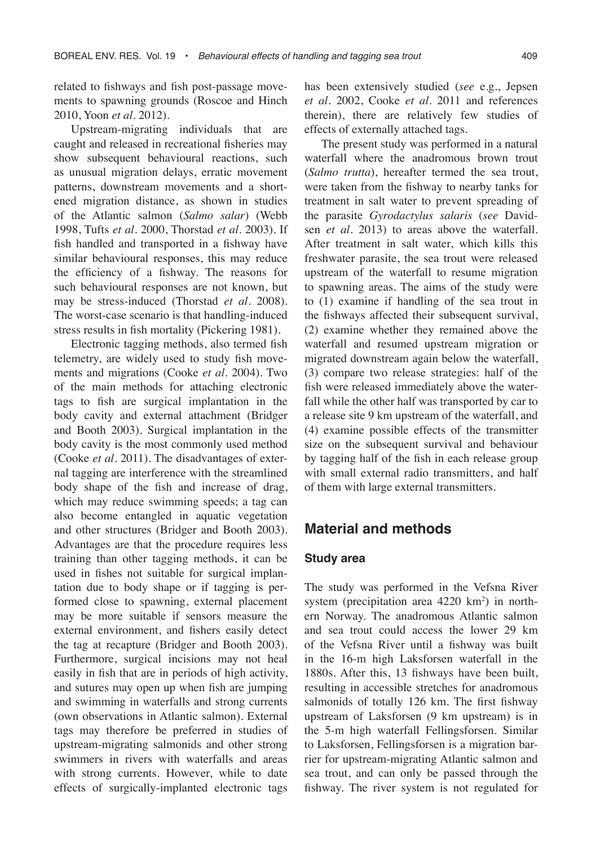related to fishways and fish post-passage movements to spawning grounds (Roscoe and Hinch 2010, Yoon *et al.* 2012).

Upstream-migrating individuals that are caught and released in recreational fisheries may show subsequent behavioural reactions, such as unusual migration delays, erratic movement patterns, downstream movements and a shortened migration distance, as shown in studies of the Atlantic salmon (*Salmo salar*) (Webb 1998, Tufts *et al.* 2000, Thorstad *et al.* 2003). If fish handled and transported in a fishway have similar behavioural responses, this may reduce the efficiency of a fishway. The reasons for such behavioural responses are not known, but may be stress-induced (Thorstad *et al.* 2008). The worst-case scenario is that handling-induced stress results in fish mortality (Pickering 1981).

Electronic tagging methods, also termed fish telemetry, are widely used to study fish movements and migrations (Cooke *et al.* 2004). Two of the main methods for attaching electronic tags to fish are surgical implantation in the body cavity and external attachment (Bridger and Booth 2003). Surgical implantation in the body cavity is the most commonly used method (Cooke *et al.* 2011). The disadvantages of external tagging are interference with the streamlined body shape of the fish and increase of drag, which may reduce swimming speeds; a tag can also become entangled in aquatic vegetation and other structures (Bridger and Booth 2003). Advantages are that the procedure requires less training than other tagging methods, it can be used in fishes not suitable for surgical implantation due to body shape or if tagging is performed close to spawning, external placement may be more suitable if sensors measure the external environment, and fishers easily detect the tag at recapture (Bridger and Booth 2003). Furthermore, surgical incisions may not heal easily in fish that are in periods of high activity, and sutures may open up when fish are jumping and swimming in waterfalls and strong currents (own observations in Atlantic salmon). External tags may therefore be preferred in studies of upstream-migrating salmonids and other strong swimmers in rivers with waterfalls and areas with strong currents. However, while to date effects of surgically-implanted electronic tags

has been extensively studied (*see* e.g., Jepsen *et al.* 2002, Cooke *et al.* 2011 and references therein), there are relatively few studies of effects of externally attached tags.

The present study was performed in a natural waterfall where the anadromous brown trout (*Salmo trutta*), hereafter termed the sea trout, were taken from the fishway to nearby tanks for treatment in salt water to prevent spreading of the parasite *Gyrodactylus salaris* (*see* Davidsen *et al.* 2013) to areas above the waterfall. After treatment in salt water, which kills this freshwater parasite, the sea trout were released upstream of the waterfall to resume migration to spawning areas. The aims of the study were to (1) examine if handling of the sea trout in the fishways affected their subsequent survival, (2) examine whether they remained above the waterfall and resumed upstream migration or migrated downstream again below the waterfall, (3) compare two release strategies: half of the fish were released immediately above the waterfall while the other half was transported by car to a release site 9 km upstream of the waterfall, and (4) examine possible effects of the transmitter size on the subsequent survival and behaviour by tagging half of the fish in each release group with small external radio transmitters, and half of them with large external transmitters.

### **Material and methods**

#### **Study area**

The study was performed in the Vefsna River system (precipitation area 4220 km<sup>2</sup>) in northern Norway. The anadromous Atlantic salmon and sea trout could access the lower 29 km of the Vefsna River until a fishway was built in the 16-m high Laksforsen waterfall in the 1880s. After this, 13 fishways have been built, resulting in accessible stretches for anadromous salmonids of totally 126 km. The first fishway upstream of Laksforsen (9 km upstream) is in the 5-m high waterfall Fellingsforsen. Similar to Laksforsen, Fellingsforsen is a migration barrier for upstream-migrating Atlantic salmon and sea trout, and can only be passed through the fishway. The river system is not regulated for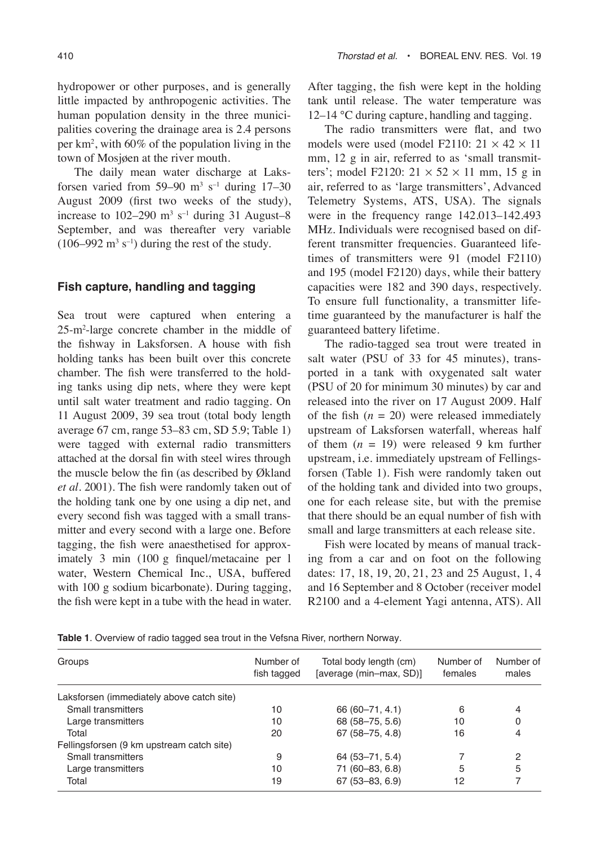hydropower or other purposes, and is generally little impacted by anthropogenic activities. The human population density in the three municipalities covering the drainage area is 2.4 persons per km2 , with 60% of the population living in the town of Mosjøen at the river mouth.

The daily mean water discharge at Laksforsen varied from 59–90  $m^3$  s<sup>-1</sup> during 17–30 August 2009 (first two weeks of the study), increase to  $102-290$  m<sup>3</sup> s<sup>-1</sup> during 31 August-8 September, and was thereafter very variable  $(106-992 \text{ m}^3 \text{ s}^{-1})$  during the rest of the study.

#### **Fish capture, handling and tagging**

Sea trout were captured when entering a 25-m2 -large concrete chamber in the middle of the fishway in Laksforsen. A house with fish holding tanks has been built over this concrete chamber. The fish were transferred to the holding tanks using dip nets, where they were kept until salt water treatment and radio tagging. On 11 August 2009, 39 sea trout (total body length average 67 cm, range 53–83 cm, SD 5.9; Table 1) were tagged with external radio transmitters attached at the dorsal fin with steel wires through the muscle below the fin (as described by Økland *et al.* 2001). The fish were randomly taken out of the holding tank one by one using a dip net, and every second fish was tagged with a small transmitter and every second with a large one. Before tagging, the fish were anaesthetised for approximately 3 min (100 g finquel/metacaine per l water, Western Chemical Inc., USA, buffered with 100 g sodium bicarbonate). During tagging, the fish were kept in a tube with the head in water.

After tagging, the fish were kept in the holding tank until release. The water temperature was 12–14 °C during capture, handling and tagging.

The radio transmitters were flat, and two models were used (model F2110:  $21 \times 42 \times 11$ mm, 12 g in air, referred to as 'small transmitters'; model F2120:  $21 \times 52 \times 11$  mm, 15 g in air, referred to as 'large transmitters', Advanced Telemetry Systems, ATS, USA). The signals were in the frequency range 142.013–142.493 MHz. Individuals were recognised based on different transmitter frequencies. Guaranteed lifetimes of transmitters were 91 (model F2110) and 195 (model F2120) days, while their battery capacities were 182 and 390 days, respectively. To ensure full functionality, a transmitter lifetime guaranteed by the manufacturer is half the guaranteed battery lifetime.

The radio-tagged sea trout were treated in salt water (PSU of 33 for 45 minutes), transported in a tank with oxygenated salt water (PSU of 20 for minimum 30 minutes) by car and released into the river on 17 August 2009. Half of the fish  $(n = 20)$  were released immediately upstream of Laksforsen waterfall, whereas half of them  $(n = 19)$  were released 9 km further upstream, i.e. immediately upstream of Fellingsforsen (Table 1). Fish were randomly taken out of the holding tank and divided into two groups, one for each release site, but with the premise that there should be an equal number of fish with small and large transmitters at each release site.

Fish were located by means of manual tracking from a car and on foot on the following dates: 17, 18, 19, 20, 21, 23 and 25 August, 1, 4 and 16 September and 8 October (receiver model R2100 and a 4-element Yagi antenna, ATS). All

**Table 1**. Overview of radio tagged sea trout in the Vefsna River, northern Norway*.*

| Groups                                    | Number of<br>fish tagged | Total body length (cm)<br>[average (min-max, SD)] | Number of<br>females | Number of<br>males |
|-------------------------------------------|--------------------------|---------------------------------------------------|----------------------|--------------------|
| Laksforsen (immediately above catch site) |                          |                                                   |                      |                    |
| Small transmitters                        | 10                       | 66 (60 - 71, 4.1)                                 | 6                    | 4                  |
| Large transmitters                        | 10                       | 68 (58-75, 5.6)                                   | 10                   |                    |
| Total                                     | 20                       | 67 (58-75, 4.8)                                   | 16                   |                    |
| Fellingsforsen (9 km upstream catch site) |                          |                                                   |                      |                    |
| Small transmitters                        | 9                        | 64 (53-71, 5.4)                                   |                      | 2                  |
| Large transmitters                        | 10                       | 71 (60-83, 6.8)                                   | 5                    | 5                  |
| Total                                     | 19                       | $67(53 - 83, 6.9)$                                | 12                   |                    |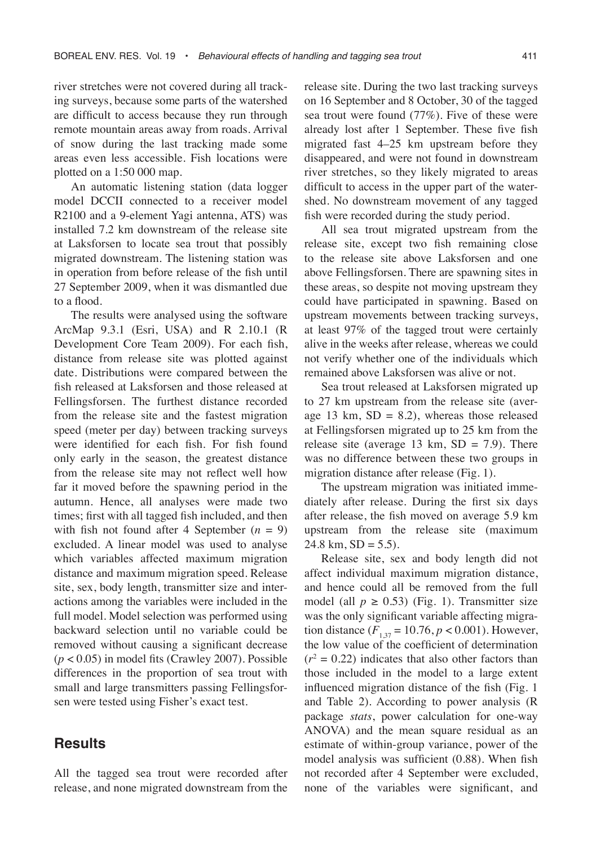river stretches were not covered during all tracking surveys, because some parts of the watershed are difficult to access because they run through remote mountain areas away from roads. Arrival of snow during the last tracking made some areas even less accessible. Fish locations were plotted on a 1:50 000 map.

An automatic listening station (data logger model DCCII connected to a receiver model R2100 and a 9-element Yagi antenna, ATS) was installed 7.2 km downstream of the release site at Laksforsen to locate sea trout that possibly migrated downstream. The listening station was in operation from before release of the fish until 27 September 2009, when it was dismantled due to a flood.

The results were analysed using the software ArcMap 9.3.1 (Esri, USA) and R 2.10.1 (R Development Core Team 2009). For each fish, distance from release site was plotted against date. Distributions were compared between the fish released at Laksforsen and those released at Fellingsforsen. The furthest distance recorded from the release site and the fastest migration speed (meter per day) between tracking surveys were identified for each fish. For fish found only early in the season, the greatest distance from the release site may not reflect well how far it moved before the spawning period in the autumn. Hence, all analyses were made two times; first with all tagged fish included, and then with fish not found after 4 September  $(n = 9)$ excluded. A linear model was used to analyse which variables affected maximum migration distance and maximum migration speed. Release site, sex, body length, transmitter size and interactions among the variables were included in the full model. Model selection was performed using backward selection until no variable could be removed without causing a significant decrease (*p* < 0.05) in model fits (Crawley 2007). Possible differences in the proportion of sea trout with small and large transmitters passing Fellingsforsen were tested using Fisher's exact test.

#### **Results**

All the tagged sea trout were recorded after release, and none migrated downstream from the

release site. During the two last tracking surveys on 16 September and 8 October, 30 of the tagged sea trout were found (77%). Five of these were already lost after 1 September. These five fish migrated fast 4–25 km upstream before they disappeared, and were not found in downstream river stretches, so they likely migrated to areas difficult to access in the upper part of the watershed. No downstream movement of any tagged fish were recorded during the study period.

All sea trout migrated upstream from the release site, except two fish remaining close to the release site above Laksforsen and one above Fellingsforsen. There are spawning sites in these areas, so despite not moving upstream they could have participated in spawning. Based on upstream movements between tracking surveys, at least 97% of the tagged trout were certainly alive in the weeks after release, whereas we could not verify whether one of the individuals which remained above Laksforsen was alive or not.

Sea trout released at Laksforsen migrated up to 27 km upstream from the release site (average 13 km,  $SD = 8.2$ ), whereas those released at Fellingsforsen migrated up to 25 km from the release site (average 13 km,  $SD = 7.9$ ). There was no difference between these two groups in migration distance after release (Fig. 1).

The upstream migration was initiated immediately after release. During the first six days after release, the fish moved on average 5.9 km upstream from the release site (maximum 24.8 km,  $SD = 5.5$ ).

Release site, sex and body length did not affect individual maximum migration distance, and hence could all be removed from the full model (all  $p \ge 0.53$ ) (Fig. 1). Transmitter size was the only significant variable affecting migration distance  $(F_{1,37} = 10.76, p < 0.001)$ . However, the low value of the coefficient of determination  $(r^2 = 0.22)$  indicates that also other factors than those included in the model to a large extent influenced migration distance of the fish (Fig. 1 and Table 2). According to power analysis (R package *stats*, power calculation for one-way ANOVA) and the mean square residual as an estimate of within-group variance, power of the model analysis was sufficient (0.88). When fish not recorded after 4 September were excluded, none of the variables were significant, and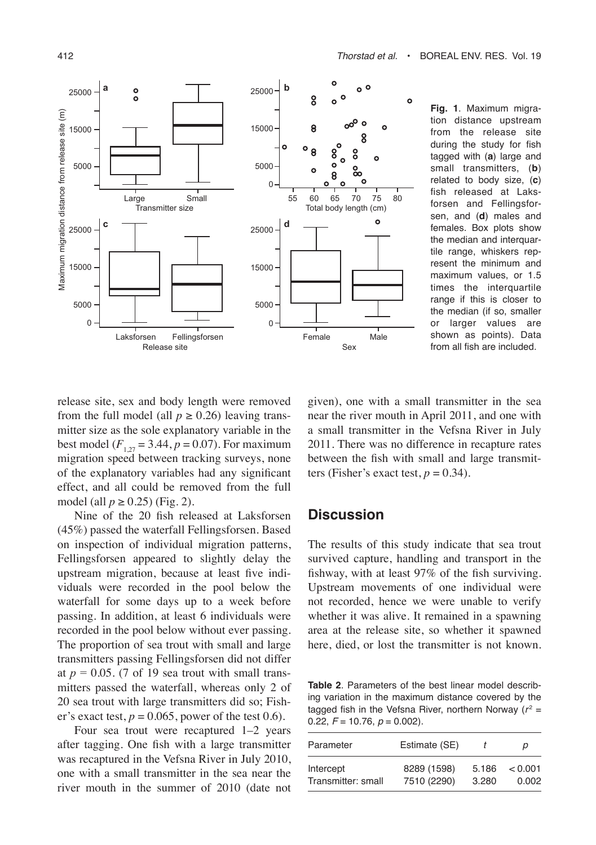

**Fig. 1**. Maximum migration distance upstream from the release site during the study for fish tagged with (**a**) large and small transmitters, (**b**) related to body size, (**c**) fish released at Laksforsen and Fellingsforsen, and (**d**) males and females. Box plots show the median and interquartile range, whiskers represent the minimum and maximum values, or 1.5 times the interquartile range if this is closer to the median (if so, smaller or larger values are shown as points). Data from all fish are included.

release site, sex and body length were removed from the full model (all  $p \ge 0.26$ ) leaving transmitter size as the sole explanatory variable in the best model  $(F_{1,27} = 3.44, p = 0.07)$ . For maximum migration speed between tracking surveys, none of the explanatory variables had any significant effect, and all could be removed from the full model (all  $p \ge 0.25$ ) (Fig. 2).

Nine of the 20 fish released at Laksforsen (45%) passed the waterfall Fellingsforsen. Based on inspection of individual migration patterns, Fellingsforsen appeared to slightly delay the upstream migration, because at least five individuals were recorded in the pool below the waterfall for some days up to a week before passing. In addition, at least 6 individuals were recorded in the pool below without ever passing. The proportion of sea trout with small and large transmitters passing Fellingsforsen did not differ at  $p = 0.05$ . (7 of 19 sea trout with small transmitters passed the waterfall, whereas only 2 of 20 sea trout with large transmitters did so; Fisher's exact test,  $p = 0.065$ , power of the test 0.6).

Four sea trout were recaptured 1–2 years after tagging. One fish with a large transmitter was recaptured in the Vefsna River in July 2010, one with a small transmitter in the sea near the river mouth in the summer of 2010 (date not

given), one with a small transmitter in the sea near the river mouth in April 2011, and one with a small transmitter in the Vefsna River in July 2011. There was no difference in recapture rates between the fish with small and large transmitters (Fisher's exact test,  $p = 0.34$ ).

## **Discussion**

The results of this study indicate that sea trout survived capture, handling and transport in the fishway, with at least 97% of the fish surviving. Upstream movements of one individual were not recorded, hence we were unable to verify whether it was alive. It remained in a spawning area at the release site, so whether it spawned here, died, or lost the transmitter is not known.

**Table 2**. Parameters of the best linear model describing variation in the maximum distance covered by the tagged fish in the Vefsna River, northern Norway ( $r^2 =$ 0.22,  $F = 10.76$ ,  $p = 0.002$ ).

| Parameter          | Estimate (SE) |       | р       |
|--------------------|---------------|-------|---------|
| Intercept          | 8289 (1598)   | 5.186 | < 0.001 |
| Transmitter: small | 7510 (2290)   | 3.280 | 0.002   |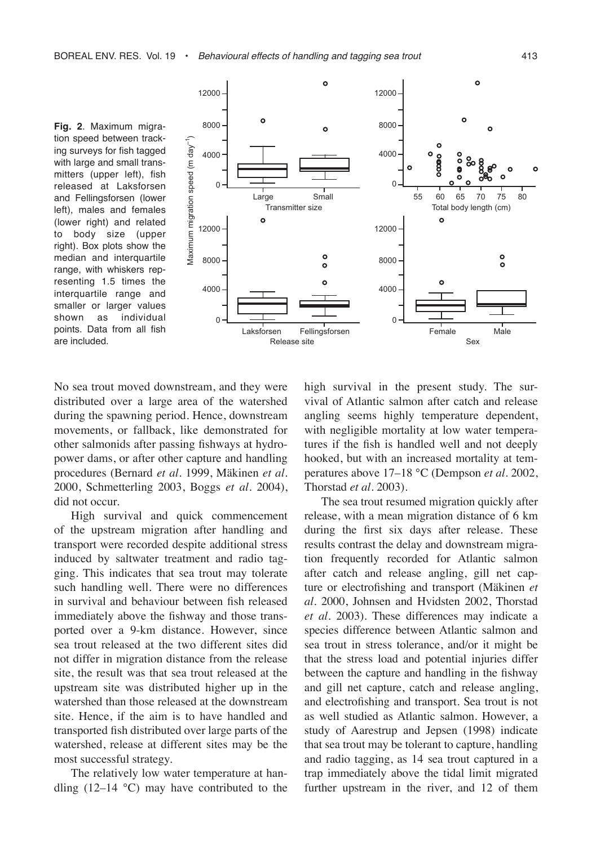**Fig. 2**. Maximum migration speed between tracking surveys for fish tagged with large and small transmitters (upper left), fish released at Laksforsen and Fellingsforsen (lower left), males and females (lower right) and related to body size (upper right). Box plots show the median and interquartile range, with whiskers representing 1.5 times the interquartile range and smaller or larger values shown as individual points. Data from all fish are included.



No sea trout moved downstream, and they were distributed over a large area of the watershed during the spawning period. Hence, downstream movements, or fallback, like demonstrated for other salmonids after passing fishways at hydropower dams, or after other capture and handling procedures (Bernard *et al.* 1999, Mäkinen *et al.* 2000, Schmetterling 2003, Boggs *et al.* 2004), did not occur.

High survival and quick commencement of the upstream migration after handling and transport were recorded despite additional stress induced by saltwater treatment and radio tagging. This indicates that sea trout may tolerate such handling well. There were no differences in survival and behaviour between fish released immediately above the fishway and those transported over a 9-km distance. However, since sea trout released at the two different sites did not differ in migration distance from the release site, the result was that sea trout released at the upstream site was distributed higher up in the watershed than those released at the downstream site. Hence, if the aim is to have handled and transported fish distributed over large parts of the watershed, release at different sites may be the most successful strategy.

The relatively low water temperature at handling  $(12-14 \degree C)$  may have contributed to the high survival in the present study. The survival of Atlantic salmon after catch and release angling seems highly temperature dependent, with negligible mortality at low water temperatures if the fish is handled well and not deeply hooked, but with an increased mortality at temperatures above 17–18 °C (Dempson *et al.* 2002, Thorstad *et al.* 2003).

The sea trout resumed migration quickly after release, with a mean migration distance of 6 km during the first six days after release. These results contrast the delay and downstream migration frequently recorded for Atlantic salmon after catch and release angling, gill net capture or electrofishing and transport (Mäkinen *et al.* 2000, Johnsen and Hvidsten 2002, Thorstad *et al.* 2003). These differences may indicate a species difference between Atlantic salmon and sea trout in stress tolerance, and/or it might be that the stress load and potential injuries differ between the capture and handling in the fishway and gill net capture, catch and release angling, and electrofishing and transport. Sea trout is not as well studied as Atlantic salmon. However, a study of Aarestrup and Jepsen (1998) indicate that sea trout may be tolerant to capture, handling and radio tagging, as 14 sea trout captured in a trap immediately above the tidal limit migrated further upstream in the river, and 12 of them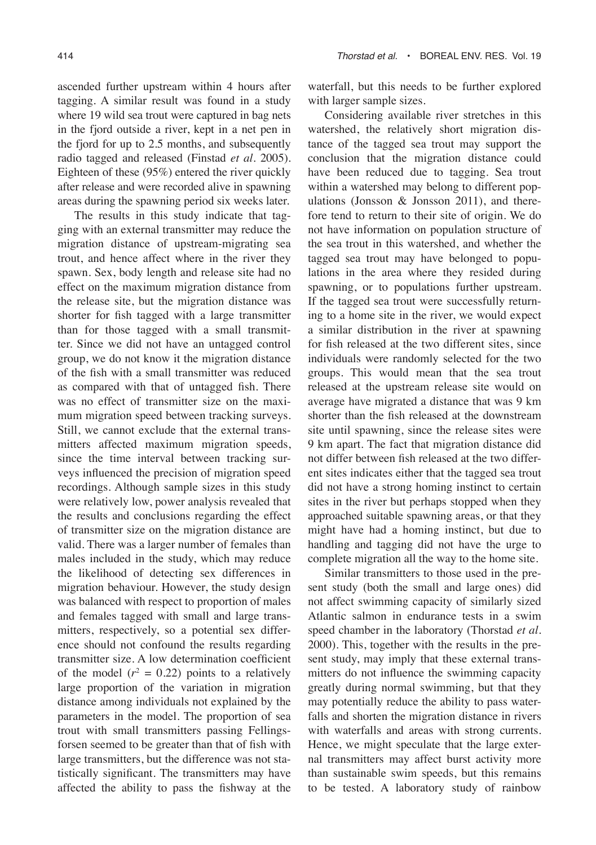ascended further upstream within 4 hours after tagging. A similar result was found in a study where 19 wild sea trout were captured in bag nets in the fjord outside a river, kept in a net pen in the fjord for up to 2.5 months, and subsequently radio tagged and released (Finstad *et al.* 2005). Eighteen of these (95%) entered the river quickly after release and were recorded alive in spawning areas during the spawning period six weeks later.

The results in this study indicate that tagging with an external transmitter may reduce the migration distance of upstream-migrating sea trout, and hence affect where in the river they spawn. Sex, body length and release site had no effect on the maximum migration distance from the release site, but the migration distance was shorter for fish tagged with a large transmitter than for those tagged with a small transmitter. Since we did not have an untagged control group, we do not know it the migration distance of the fish with a small transmitter was reduced as compared with that of untagged fish. There was no effect of transmitter size on the maximum migration speed between tracking surveys. Still, we cannot exclude that the external transmitters affected maximum migration speeds, since the time interval between tracking surveys influenced the precision of migration speed recordings. Although sample sizes in this study were relatively low, power analysis revealed that the results and conclusions regarding the effect of transmitter size on the migration distance are valid. There was a larger number of females than males included in the study, which may reduce the likelihood of detecting sex differences in migration behaviour. However, the study design was balanced with respect to proportion of males and females tagged with small and large transmitters, respectively, so a potential sex difference should not confound the results regarding transmitter size. A low determination coefficient of the model  $(r^2 = 0.22)$  points to a relatively large proportion of the variation in migration distance among individuals not explained by the parameters in the model. The proportion of sea trout with small transmitters passing Fellingsforsen seemed to be greater than that of fish with large transmitters, but the difference was not statistically significant. The transmitters may have affected the ability to pass the fishway at the

waterfall, but this needs to be further explored with larger sample sizes.

Considering available river stretches in this watershed, the relatively short migration distance of the tagged sea trout may support the conclusion that the migration distance could have been reduced due to tagging. Sea trout within a watershed may belong to different populations (Jonsson & Jonsson 2011), and therefore tend to return to their site of origin. We do not have information on population structure of the sea trout in this watershed, and whether the tagged sea trout may have belonged to populations in the area where they resided during spawning, or to populations further upstream. If the tagged sea trout were successfully returning to a home site in the river, we would expect a similar distribution in the river at spawning for fish released at the two different sites, since individuals were randomly selected for the two groups. This would mean that the sea trout released at the upstream release site would on average have migrated a distance that was 9 km shorter than the fish released at the downstream site until spawning, since the release sites were 9 km apart. The fact that migration distance did not differ between fish released at the two different sites indicates either that the tagged sea trout did not have a strong homing instinct to certain sites in the river but perhaps stopped when they approached suitable spawning areas, or that they might have had a homing instinct, but due to handling and tagging did not have the urge to complete migration all the way to the home site.

Similar transmitters to those used in the present study (both the small and large ones) did not affect swimming capacity of similarly sized Atlantic salmon in endurance tests in a swim speed chamber in the laboratory (Thorstad *et al.* 2000). This, together with the results in the present study, may imply that these external transmitters do not influence the swimming capacity greatly during normal swimming, but that they may potentially reduce the ability to pass waterfalls and shorten the migration distance in rivers with waterfalls and areas with strong currents. Hence, we might speculate that the large external transmitters may affect burst activity more than sustainable swim speeds, but this remains to be tested. A laboratory study of rainbow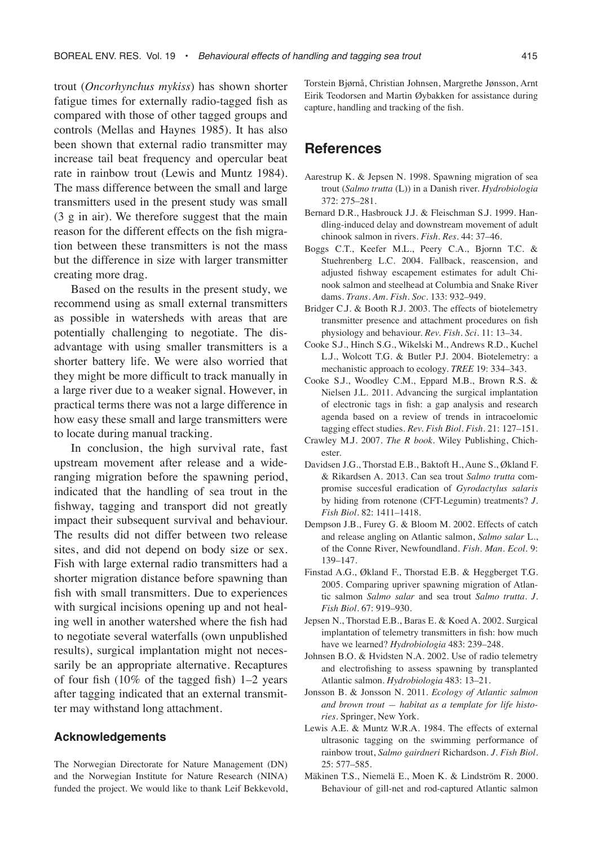trout (*Oncorhynchus mykiss*) has shown shorter fatigue times for externally radio-tagged fish as compared with those of other tagged groups and controls (Mellas and Haynes 1985). It has also been shown that external radio transmitter may increase tail beat frequency and opercular beat rate in rainbow trout (Lewis and Muntz 1984). The mass difference between the small and large transmitters used in the present study was small (3 g in air). We therefore suggest that the main reason for the different effects on the fish migration between these transmitters is not the mass but the difference in size with larger transmitter creating more drag.

Based on the results in the present study, we recommend using as small external transmitters as possible in watersheds with areas that are potentially challenging to negotiate. The disadvantage with using smaller transmitters is a shorter battery life. We were also worried that they might be more difficult to track manually in a large river due to a weaker signal. However, in practical terms there was not a large difference in how easy these small and large transmitters were to locate during manual tracking.

In conclusion, the high survival rate, fast upstream movement after release and a wideranging migration before the spawning period, indicated that the handling of sea trout in the fishway, tagging and transport did not greatly impact their subsequent survival and behaviour. The results did not differ between two release sites, and did not depend on body size or sex. Fish with large external radio transmitters had a shorter migration distance before spawning than fish with small transmitters. Due to experiences with surgical incisions opening up and not healing well in another watershed where the fish had to negotiate several waterfalls (own unpublished results), surgical implantation might not necessarily be an appropriate alternative. Recaptures of four fish (10% of the tagged fish) 1–2 years after tagging indicated that an external transmitter may withstand long attachment.

#### **Acknowledgements**

The Norwegian Directorate for Nature Management (DN) and the Norwegian Institute for Nature Research (NINA) funded the project. We would like to thank Leif Bekkevold, Torstein Bjørnå, Christian Johnsen, Margrethe Jønsson, Arnt Eirik Teodorsen and Martin Øybakken for assistance during capture, handling and tracking of the fish.

## **References**

- Aarestrup K. & Jepsen N. 1998. Spawning migration of sea trout (*Salmo trutta* (L)) in a Danish river. *Hydrobiologia* 372: 275–281.
- Bernard D.R., Hasbrouck J.J. & Fleischman S.J. 1999. Handling-induced delay and downstream movement of adult chinook salmon in rivers. *Fish. Res.* 44: 37–46.
- Boggs C.T., Keefer M.L., Peery C.A., Bjornn T.C. & Stuehrenberg L.C. 2004. Fallback, reascension, and adjusted fishway escapement estimates for adult Chinook salmon and steelhead at Columbia and Snake River dams. *Trans. Am. Fish. Soc.* 133: 932–949.
- Bridger C.J. & Booth R.J. 2003. The effects of biotelemetry transmitter presence and attachment procedures on fish physiology and behaviour. *Rev. Fish. Sci.* 11: 13–34.
- Cooke S.J., Hinch S.G., Wikelski M., Andrews R.D., Kuchel L.J., Wolcott T.G. & Butler P.J. 2004. Biotelemetry: a mechanistic approach to ecology. *TREE* 19: 334–343.
- Cooke S.J., Woodley C.M., Eppard M.B., Brown R.S. & Nielsen J.L. 2011. Advancing the surgical implantation of electronic tags in fish: a gap analysis and research agenda based on a review of trends in intracoelomic tagging effect studies. *Rev. Fish Biol. Fish.* 21: 127–151.
- Crawley M.J. 2007. *The R book.* Wiley Publishing, Chichester.
- Davidsen J.G., Thorstad E.B., Baktoft H., Aune S., Økland F. & Rikardsen A. 2013. Can sea trout *Salmo trutta* compromise succesful eradication of *Gyrodactylus salaris* by hiding from rotenone (CFT-Legumin) treatments? *J. Fish Biol.* 82: 1411–1418.
- Dempson J.B., Furey G. & Bloom M. 2002. Effects of catch and release angling on Atlantic salmon, *Salmo salar* L., of the Conne River, Newfoundland. *Fish. Man. Ecol.* 9: 139–147.
- Finstad A.G., Økland F., Thorstad E.B. & Heggberget T.G. 2005. Comparing upriver spawning migration of Atlantic salmon *Salmo salar* and sea trout *Salmo trutta*. *J. Fish Biol.* 67: 919–930.
- Jepsen N., Thorstad E.B., Baras E. & Koed A. 2002. Surgical implantation of telemetry transmitters in fish: how much have we learned? *Hydrobiologia* 483: 239–248.
- Johnsen B.O. & Hvidsten N.A. 2002. Use of radio telemetry and electrofishing to assess spawning by transplanted Atlantic salmon. *Hydrobiologia* 483: 13–21.
- Jonsson B. & Jonsson N. 2011. *Ecology of Atlantic salmon and brown trout — habitat as a template for life histories*. Springer, New York.
- Lewis A.E. & Muntz W.R.A. 1984. The effects of external ultrasonic tagging on the swimming performance of rainbow trout, *Salmo gairdneri* Richardson. *J. Fish Biol.* 25: 577–585.
- Mäkinen T.S., Niemelä E., Moen K. & Lindström R. 2000. Behaviour of gill-net and rod-captured Atlantic salmon